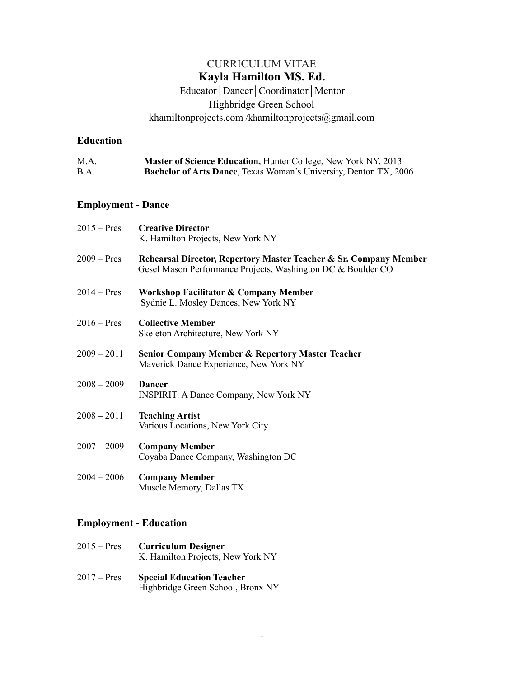# CURRICULUM VITAE **Kayla Hamilton MS. Ed.**

# Educator | Dancer | Coordinator | Mentor Highbridge Green School [khamiltonprojects.com](http://khamiltonprojects.com) /khamiltonprojects@gmail.com

### **Education**

| M.A. | <b>Master of Science Education, Hunter College, New York NY, 2013</b>     |
|------|---------------------------------------------------------------------------|
| B.A. | <b>Bachelor of Arts Dance</b> , Texas Woman's University, Denton TX, 2006 |

## **Employment - Dance**

| $2015 - Pres$ | <b>Creative Director</b><br>K. Hamilton Projects, New York NY                                                                     |
|---------------|-----------------------------------------------------------------------------------------------------------------------------------|
| $2009 - Pres$ | Rehearsal Director, Repertory Master Teacher & Sr. Company Member<br>Gesel Mason Performance Projects, Washington DC & Boulder CO |
| $2014 - Pres$ | <b>Workshop Facilitator &amp; Company Member</b><br>Sydnie L. Mosley Dances, New York NY                                          |
| $2016 - Pres$ | <b>Collective Member</b><br>Skeleton Architecture, New York NY                                                                    |
| $2009 - 2011$ | <b>Senior Company Member &amp; Repertory Master Teacher</b><br>Maverick Dance Experience, New York NY                             |
| $2008 - 2009$ | <b>Dancer</b><br><b>INSPIRIT: A Dance Company, New York NY</b>                                                                    |
| $2008 - 2011$ | <b>Teaching Artist</b><br>Various Locations, New York City                                                                        |
| $2007 - 2009$ | <b>Company Member</b><br>Coyaba Dance Company, Washington DC                                                                      |
| $2004 - 2006$ | <b>Company Member</b><br>Muscle Memory, Dallas TX                                                                                 |
|               |                                                                                                                                   |

# **Employment - Education**

- 2015 Pres **Curriculum Designer** K. Hamilton Projects, New York NY
- 2017 Pres **Special Education Teacher** Highbridge Green School, Bronx NY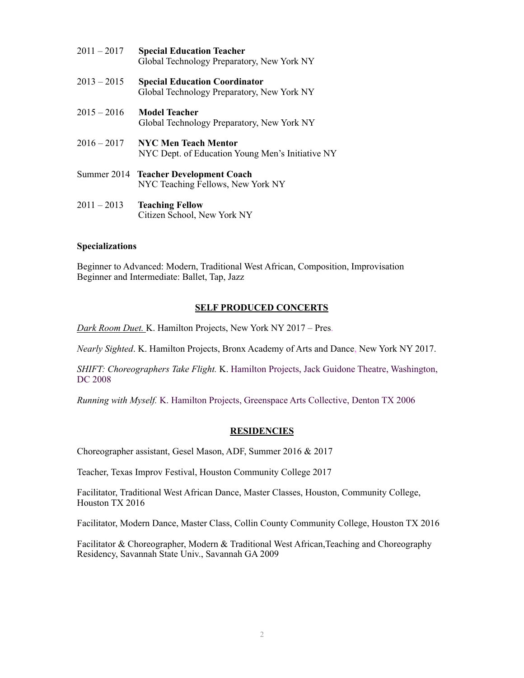| $2011 - 2017$ | <b>Special Education Teacher</b><br>Global Technology Preparatory, New York NY     |
|---------------|------------------------------------------------------------------------------------|
| $2013 - 2015$ | <b>Special Education Coordinator</b><br>Global Technology Preparatory, New York NY |
| $2015 - 2016$ | <b>Model Teacher</b><br>Global Technology Preparatory, New York NY                 |
| $2016 - 2017$ | <b>NYC Men Teach Mentor</b><br>NYC Dept. of Education Young Men's Initiative NY    |
|               | Summer 2014 Teacher Development Coach<br>NYC Teaching Fellows, New York NY         |
| $2011 - 2013$ | <b>Teaching Fellow</b><br>Citizen School, New York NY                              |

#### **Specializations**

Beginner to Advanced: Modern, Traditional West African, Composition, Improvisation Beginner and Intermediate: Ballet, Tap, Jazz

#### **SELF PRODUCED CONCERTS**

*Dark Room Duet.* K. Hamilton Projects, New York NY 2017 *–* Pres.

*Nearly Sighted*. K. Hamilton Projects, Bronx Academy of Arts and Dance, New York NY 2017.

*SHIFT: Choreographers Take Flight.* K. Hamilton Projects, Jack Guidone Theatre, Washington, DC 2008

*Running with Myself.* K. Hamilton Projects, Greenspace Arts Collective, Denton TX 2006

#### **RESIDENCIES**

Choreographer assistant, Gesel Mason, ADF, Summer 2016 & 2017

Teacher, Texas Improv Festival, Houston Community College 2017

Facilitator, Traditional West African Dance, Master Classes, Houston, Community College, Houston TX 2016

Facilitator, Modern Dance, Master Class, Collin County Community College, Houston TX 2016

Facilitator & Choreographer, Modern & Traditional West African, Teaching and Choreography Residency, Savannah State Univ., Savannah GA 2009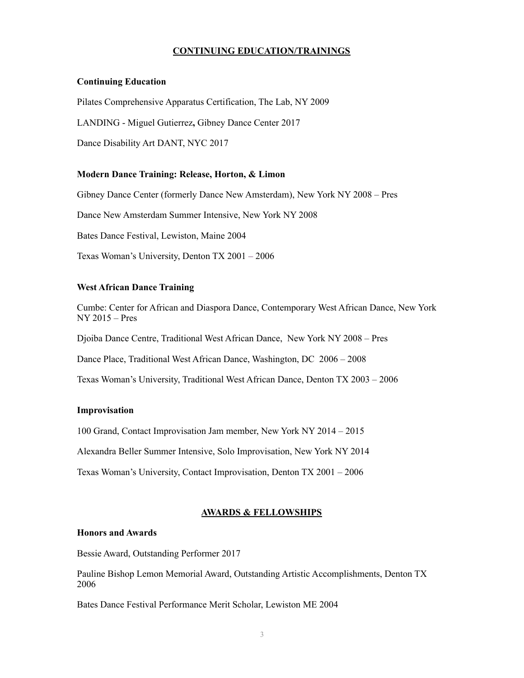#### **CONTINUING EDUCATION/TRAININGS**

#### **Continuing Education**

Pilates Comprehensive Apparatus Certification, The Lab, NY 2009

LANDING - Miguel Gutierrez**,** Gibney Dance Center 2017

Dance Disability Art DANT, NYC 2017

### **Modern Dance Training: Release, Horton, & Limon**

Gibney Dance Center (formerly Dance New Amsterdam), New York NY 2008 – Pres

Dance New Amsterdam Summer Intensive, New York NY 2008

Bates Dance Festival, Lewiston, Maine 2004

Texas Woman's University, Denton TX 2001 – 2006

#### **West African Dance Training**

Cumbe: Center for African and Diaspora Dance, Contemporary West African Dance, New York NY 2015 – Pres

Djoiba Dance Centre, Traditional West African Dance, New York NY 2008 – Pres

Dance Place, Traditional West African Dance, Washington, DC 2006 – 2008

Texas Woman's University, Traditional West African Dance, Denton TX 2003 – 2006

#### **Improvisation**

100 Grand, Contact Improvisation Jam member, New York NY 2014 – 2015

Alexandra Beller Summer Intensive, Solo Improvisation, New York NY 2014

Texas Woman's University, Contact Improvisation, Denton TX 2001 – 2006

### **AWARDS & FELLOWSHIPS**

### **Honors and Awards**

Bessie Award, Outstanding Performer 2017

Pauline Bishop Lemon Memorial Award, Outstanding Artistic Accomplishments, Denton TX 2006

Bates Dance Festival Performance Merit Scholar, Lewiston ME 2004